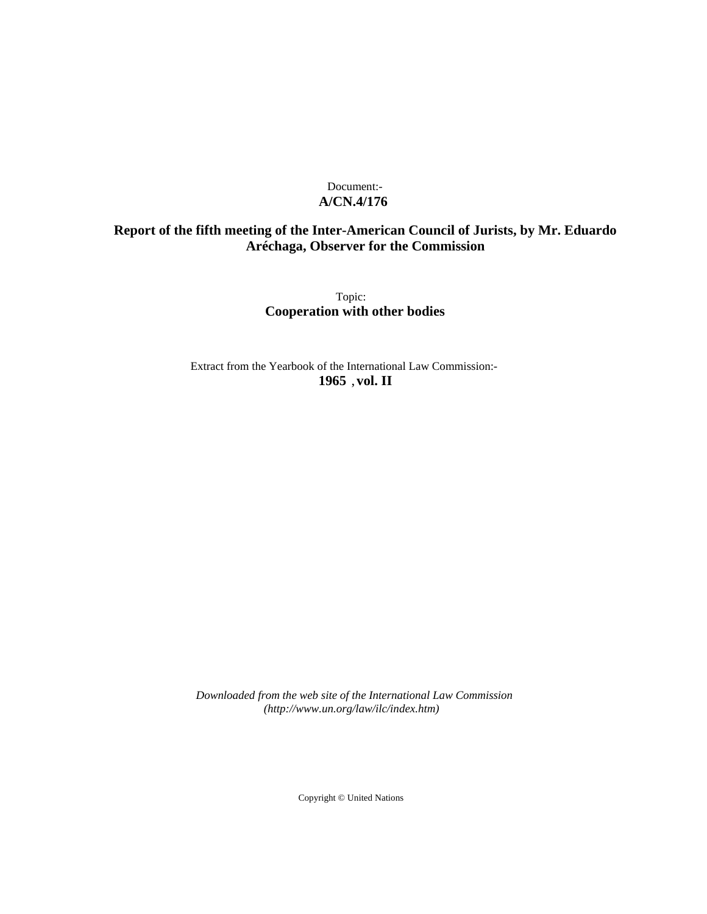# Document:- **A/CN.4/176**

# **Report of the fifth meeting of the Inter-American Council of Jurists, by Mr. Eduardo Aréchaga, Observer for the Commission**

Topic: **Cooperation with other bodies**

Extract from the Yearbook of the International Law Commission:- **1965** ,**vol. II**

*Downloaded from the web site of the International Law Commission (http://www.un.org/law/ilc/index.htm)*

Copyright © United Nations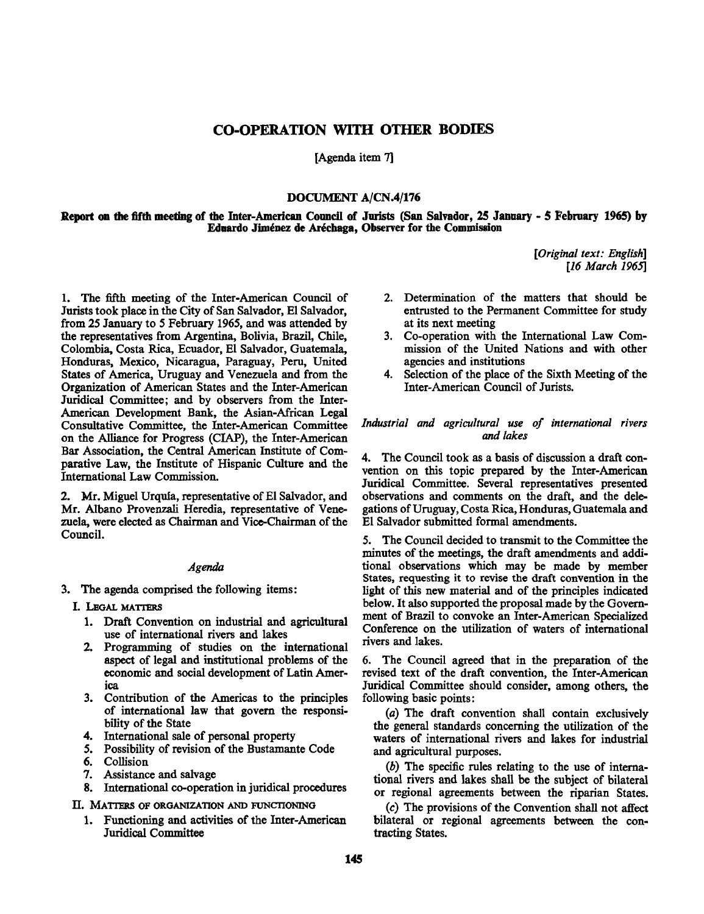# **CO-OPERATION WITH OTHER BODIES**

[Agenda item 7]

# **DOCUMENT A/CN.4/176**

**Report on the fifth meeting of the Inter-American Council of Jurists (San Salvador, 25 January - 5 February 1965) by Eduardo Jiménez de Aréchaga, Observer for the Commission** 

> *[Original text: English] [16 March 1965]*

1. The fifth meeting of the Inter-American Council of Jurists took place in the City of San Salvador, El Salvador, from 25 January to 5 February 1965, and was attended by the representatives from Argentina, Bolivia, Brazil, Chile, Colombia, Costa Rica, Ecuador, El Salvador, Guatemala, Honduras, Mexico, Nicaragua, Paraguay, Peru, United States of America, Uruguay and Venezuela and from the Organization of American States and the Inter-American Juridical Committee; and by observers from the Inter-American Development Bank, the Asian-African Legal Consultative Committee, the Inter-American Committee on the Alliance for Progress (CIAP), the Inter-American Bar Association, the Central American Institute of Comparative Law, the Institute of Hispanic Culture and the International Law Commission.

2. Mr. Miguel Urqufa, representative of El Salvador, and Mr. Albano Provenzali Heredia, representative of Venezuela, were elected as Chairman and Vice-Chairman of the Council.

#### *Agenda*

- 3. The agenda comprised the following items:
	- I. LEGAL MATTERS
		- 1. Draft Convention on industrial and agricultural use of international rivers and lakes
		- 2. Programming of studies on the international aspect of legal and institutional problems of the economic and social development of Latin America
		- 3. Contribution of the Americas to the principles of international law that govern the responsibility of the State
		- 4. International sale of personal property
		- 5. Possibility of revision of the Bustamante Code
		- 6. Collision
		- 7. Assistance and salvage
		- 8. International co-operation in juridical procedures

II. MATTERS OF ORGANIZATION AND FUNCTIONING

1. Functioning and activities of the Inter-American Juridical Committee

- 2. Determination of the matters that should be entrusted to the Permanent Committee for study at its next meeting
- 3. Co-operation with the International Law Commission of the United Nations and with other agencies and institutions
- 4. Selection of the place of the Sixth Meeting of the Inter-American Council of Jurists.

# *Industrial and agricultural use of international rivers and lakes*

4. The Council took as a basis of discussion a draft convention on this topic prepared by the Inter-American Juridical Committee. Several representatives presented observations and comments on the draft, and the delegations of Uruguay, Costa Rica, Honduras, Guatemala and El Salvador submitted formal amendments.

5. The Council decided to transmit to the Committee the minutes of the meetings, the draft amendments and additional observations which may be made by member States, requesting it to revise the draft convention in the light of this new material and of the principles indicated below. It also supported the proposal made by the Government of Brazil to convoke an Inter-American Specialized Conference on the utilization of waters of international rivers and lakes.

6. The Council agreed that in the preparation of the revised text of the draft convention, the Inter-American Juridical Committee should consider, among others, the following basic points:

*(a)* The draft convention shall contain exclusively the general standards concerning the utilization of the waters of international rivers and lakes for industrial and agricultural purposes.

*(b)* The specific rules relating to the use of international rivers and lakes shall be the subject of bilateral or regional agreements between the riparian States.

(c) The provisions of the Convention shall not affect bilateral or regional agreements between the contracting States.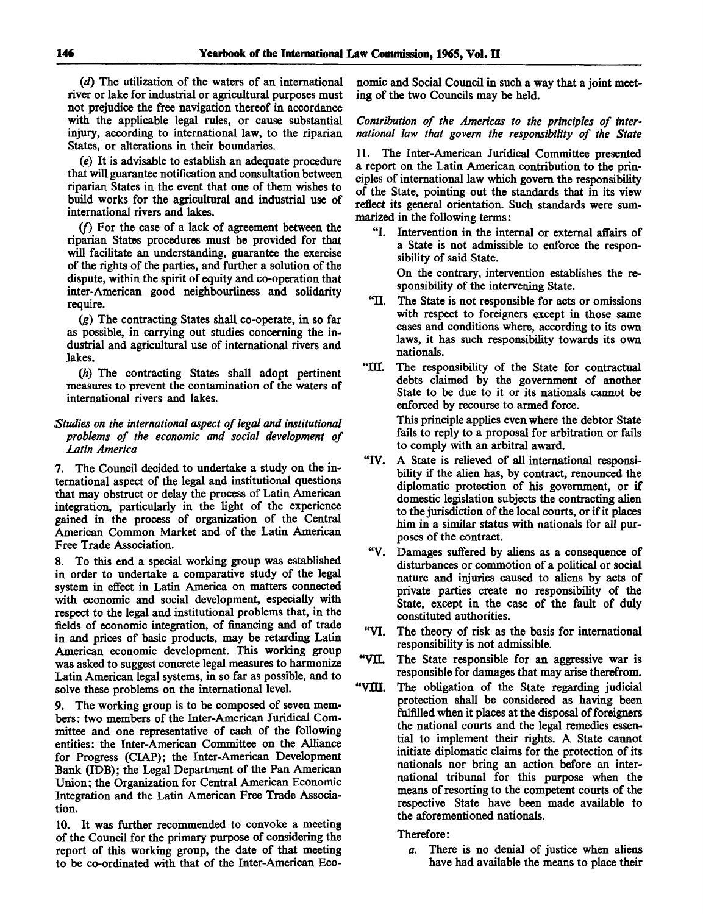*(d)* The utilization of the waters of an international river or lake for industrial or agricultural purposes must not prejudice the free navigation thereof in accordance with the applicable legal rules, or cause substantial injury, according to international law, to the riparian States, or alterations in their boundaries.

*(e)* It is advisable to establish an adequate procedure that will guarantee notification and consultation between riparian States in the event that one of them wishes to build works for the agricultural and industrial use of international rivers and lakes.

*(f)* For the case of a lack of agreement between the riparian States procedures must be provided for that will facilitate an understanding, guarantee the exercise of the rights of the parties, and further a solution of the dispute, within the spirit of equity and co-operation that inter-American good neighbourliness and solidarity require.

*(g)* The contracting States shall co-operate, in so far as possible, in carrying out studies concerning the industrial and agricultural use of international rivers and lakes.

*(h)* The contracting States shall adopt pertinent measures to prevent the contamination of the waters of international rivers and lakes.

## *Studies on the international aspect of legal and institutional problems of the economic and social development of Latin America*

7. The Council decided to undertake a study on the international aspect of the legal and institutional questions that may obstruct or delay the process of Latin American integration, particularly in the light of the experience gained in the process of organization of the Central American Common Market and of the Latin American Free Trade Association.

8. To this end a special working group was established in order to undertake a comparative study of the legal system in effect in Latin America on matters connected with economic and social development, especially with respect to the legal and institutional problems that, in the fields of economic integration, of financing and of trade in and prices of basic products, may be retarding Latin American economic development. This working group was asked to suggest concrete legal measures to harmonize Latin American legal systems, in so far as possible, and to solve these problems on the international level.

9. The working group is to be composed of seven members: two members of the Inter-American Juridical Committee and one representative of each of the following entities: the Inter-American Committee on the Alliance for Progress (CLAP); the Inter-American Development Bank (IDB); the Legal Department of the Pan American Union; the Organization for Central American Economic Integration and the Latin American Free Trade Association.

10. It was further recommended to convoke a meeting of the Council for the primary purpose of considering the report of this working group, the date of that meeting to be co-ordinated with that of the Inter-American Economic and Social Council in such a way that a joint meeting of the two Councils may be held.

*Contribution of the Americas to the principles of international law that govern the responsibility of the State*

11. The Inter-American Juridical Committee presented a report on the Latin American contribution to the principles of international law which govern the responsibility of the State, pointing out the standards that in its view reflect its general orientation. Such standards were summarized in the following terms:

"I. Intervention in the internal or external affairs of a State is not admissible to enforce the responsibility of said State.

On the contrary, intervention establishes the responsibility of the intervening State.

- "II. The State is not responsible for acts or omissions with respect to foreigners except in those same cases and conditions where, according to its own laws, it has such responsibility towards its own nationals.
- "III. The responsibility of the State for contractual debts claimed by the government of another State to be due to it or its nationals cannot be enforced by recourse to armed force. This principle applies even where the debtor State fails to reply to a proposal for arbitration or fails to comply with an arbitral award.
- "IV. A State is relieved of all international responsibility if the alien has, by contract, renounced the diplomatic protection of his government, or if domestic legislation subjects the contracting alien to the jurisdiction of the local courts, or if it places him in a similar status with nationals for all purposes of the contract.
- "V. Damages suffered by aliens as a consequence of disturbances or commotion of a political or social nature and injuries caused to aliens by acts of private parties create no responsibility of the State, except in the case of the fault of duly constituted authorities.
- "VI. The theory of risk as the basis for international responsibility is not admissible.
- "VH. The State responsible for an aggressive war is responsible for damages that may arise therefrom.
- "VIII. The obligation of the State regarding judicial protection shall be considered as having been fulfilled when it places at the disposal of foreigners the national courts and the legal remedies essential to implement their rights. A State cannot initiate diplomatic claims for the protection of its nationals nor bring an action before an international tribunal for this purpose when the means of resorting to the competent courts of the respective State have been made available to the aforementioned nationals.

Therefore:

*a.* There is no denial of justice when aliens have had available the means to place their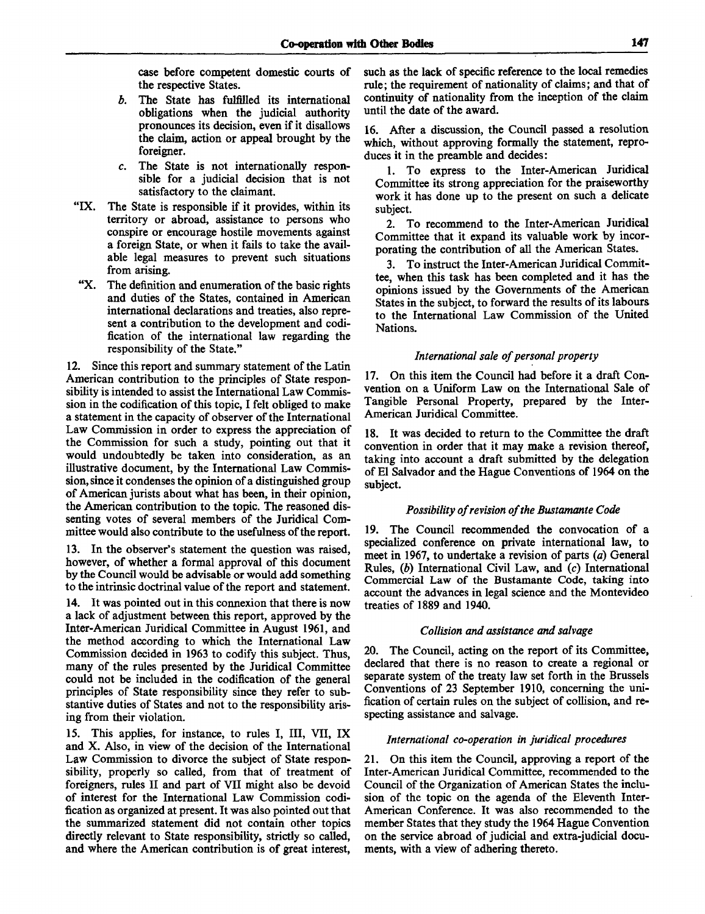case before competent domestic courts of the respective States.

- *b.* The State has fulfilled its international obligations when the judicial authority pronounces its decision, even if it disallows the claim, action or appeal brought by the foreigner.
- *c.* The State is not internationally responsible for a judicial decision that is not satisfactory to the claimant.
- "IX. The State is responsible if it provides, within its territory or abroad, assistance to persons who conspire or encourage hostile movements against a foreign State, or when it fails to take the available legal measures to prevent such situations from arising.
- "X. The definition and enumeration of the basic rights and duties of the States, contained in American international declarations and treaties, also represent a contribution to the development and codification of the international law regarding the responsibility of the State."

12. Since this report and summary statement of the Latin American contribution to the principles of State responsibility is intended to assist the International Law Commission in the codification of this topic, I felt obliged to make a statement in the capacity of observer of the International Law Commission in order to express the appreciation of the Commission for such a study, pointing out that it would undoubtedly be taken into consideration, as an illustrative document, by the International Law Commission, since it condenses the opinion of a distinguished group of American jurists about what has been, in their opinion, the American contribution to the topic. The reasoned dissenting votes of several members of the Juridical Committee would also contribute to the usefulness of the report.

13. In the observer's statement the question was raised, however, of whether a formal approval of this document by the Council would be advisable or would add something to the intrinsic doctrinal value of the report and statement.

14. It was pointed out in this connexion that there is now a lack of adjustment between this report, approved by the Inter-American Juridical Committee in August 1961, and the method according to which the International Law Commission decided in 1963 to codify this subject. Thus, many of the rules presented by the Juridical Committee could not be included in the codification of the general principles of State responsibility since they refer to substantive duties of States and not to the responsibility arising from their violation.

15. This applies, for instance, to rules I, III, VII, IX and X. Also, in view of the decision of the International Law Commission to divorce the subject of State responsibility, properly so called, from that of treatment of foreigners, rules II and part of VII might also be devoid of interest for the International Law Commission codification as organized at present. It was also pointed out that the summarized statement did not contain other topics directly relevant to State responsibility, strictly so called, and where the American contribution is of great interest,

such as the lack of specific reference to the local remedies rule; the requirement of nationality of claims; and that of continuity of nationality from the inception of the claim until the date of the award.

16. After a discussion, the Council passed a resolution which, without approving formally the statement, reproduces it in the preamble and decides:

1. To express to the Inter-American Juridical Committee its strong appreciation for the praiseworthy work it has done up to the present on such a delicate subject.

2. To recommend to the Inter-American Juridical Committee that it expand its valuable work by incorporating the contribution of all the American States.

3. To instruct the Inter-American Juridical Committee, when this task has been completed and it has the opinions issued by the Governments of the American States in the subject, to forward the results of its labours to the International Law Commission of the United Nations.

# *International sale of personal property*

17. On this item the Council had before it a draft Convention on a Uniform Law on the International Sale of Tangible Personal Property, prepared by the Inter-American Juridical Committee.

18. It was decided to return to the Committee the draft convention in order that it may make a revision thereof, taking into account a draft submitted by the delegation of El Salvador and the Hague Conventions of 1964 on the subject.

#### *Possibility of revision of the Bustamante Code*

19. The Council recommended the convocation of a specialized conference on private international law, to meet in 1967, to undertake a revision of parts *(a)* General Rules, *(b)* International Civil Law, and (c) International Commercial Law of the Bustamante Code, taking into account the advances in legal science and the Montevideo treaties of 1889 and 1940.

#### *Collision and assistance and salvage*

20. The Council, acting on the report of its Committee, declared that there is no reason to create a regional or separate system of the treaty law set forth in the Brussels Conventions of 23 September 1910, concerning the unification of certain rules on the subject of collision, and respecting assistance and salvage.

#### *International co-operation in juridical procedures*

21. On this item the Council, approving a report of the Inter-American Juridical Committee, recommended to the Council of the Organization of American States the inclusion of the topic on the agenda of the Eleventh Inter-American Conference. It was also recommended to the member States that they study the 1964 Hague Convention on the service abroad of judicial and extra-judicial documents, with a view of adhering thereto.